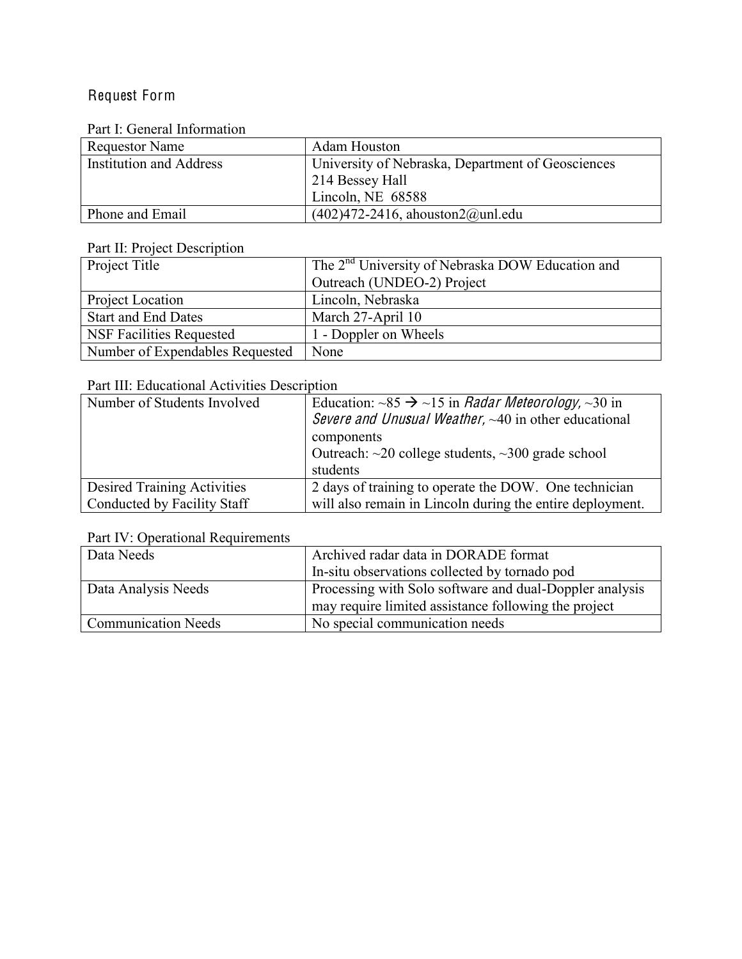# Request Form

# Part I: General Information

| <b>Requestor Name</b>          | Adam Houston                                      |
|--------------------------------|---------------------------------------------------|
| <b>Institution and Address</b> | University of Nebraska, Department of Geosciences |
|                                | 214 Bessey Hall                                   |
|                                | Lincoln, NE $68588$                               |
| Phone and Email                | $(402)472-2416$ , ahouston $2@$ unl.edu           |

## Part II: Project Description

| Project Title                   | The 2 <sup>nd</sup> University of Nebraska DOW Education and |
|---------------------------------|--------------------------------------------------------------|
|                                 | Outreach (UNDEO-2) Project                                   |
| Project Location                | Lincoln, Nebraska                                            |
| <b>Start and End Dates</b>      | March 27-April 10                                            |
| <b>NSF Facilities Requested</b> | 1 - Doppler on Wheels                                        |
| Number of Expendables Requested | None                                                         |

# Part III: Educational Activities Description

| Number of Students Involved        | Education: $\sim 85 \rightarrow \sim 15$ in <i>Radar Meteorology</i> , $\sim 30$ in<br><i>Severe and Unusual Weather,</i> $~40$ in other educational<br>components<br>Outreach: $\sim$ 20 college students, $\sim$ 300 grade school |  |  |  |
|------------------------------------|-------------------------------------------------------------------------------------------------------------------------------------------------------------------------------------------------------------------------------------|--|--|--|
|                                    | students                                                                                                                                                                                                                            |  |  |  |
| <b>Desired Training Activities</b> | 2 days of training to operate the DOW. One technician                                                                                                                                                                               |  |  |  |
| Conducted by Facility Staff        | will also remain in Lincoln during the entire deployment.                                                                                                                                                                           |  |  |  |

# Part IV: Operational Requirements

| Data Needs                 | Archived radar data in DORADE format                    |  |  |  |
|----------------------------|---------------------------------------------------------|--|--|--|
|                            | In-situ observations collected by tornado pod           |  |  |  |
| Data Analysis Needs        | Processing with Solo software and dual-Doppler analysis |  |  |  |
|                            | may require limited assistance following the project    |  |  |  |
| <b>Communication Needs</b> | No special communication needs                          |  |  |  |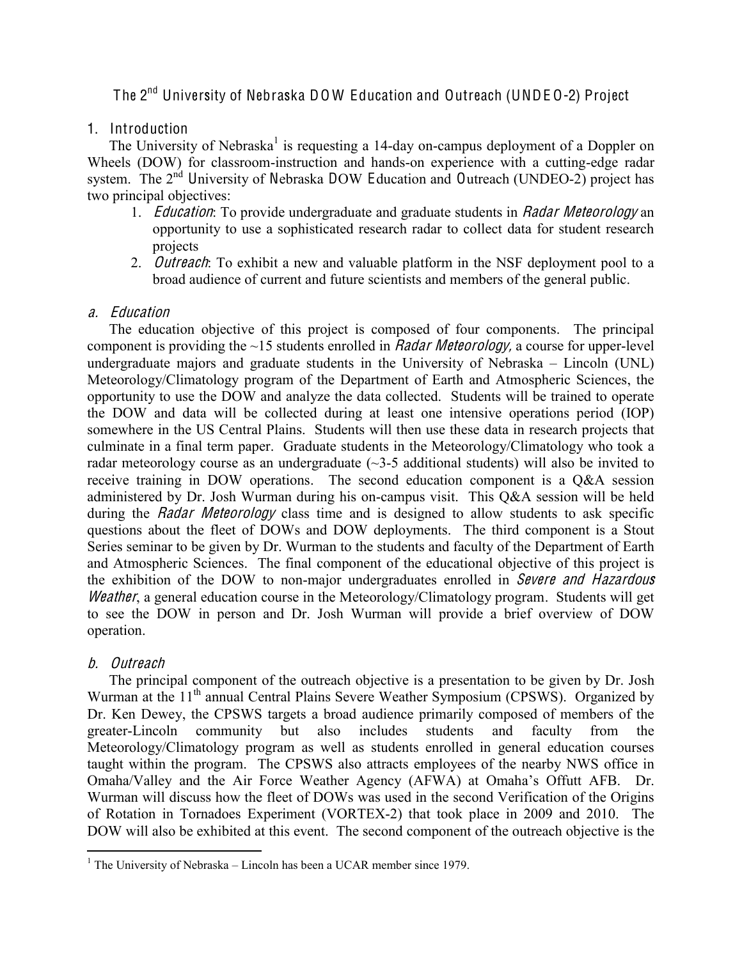# The 2nd University of Nebraska DO W Education and Outreach (UNDE O-2) Project

## 1. Introduction

The University of Nebraska<sup>1</sup> is requesting a 14-day on-campus deployment of a Doppler on Wheels (DOW) for classroom-instruction and hands-on experience with a cutting-edge radar system. The  $2<sup>nd</sup>$  University of Nebraska DOW Education and Outreach (UNDEO-2) project has two principal objectives:

- 1. *Education*: To provide undergraduate and graduate students in *Radar Meteorology* an opportunity to use a sophisticated research radar to collect data for student research projects
- 2. *Outreach*: To exhibit a new and valuable platform in the NSF deployment pool to a broad audience of current and future scientists and members of the general public.

#### a. Education

The education objective of this project is composed of four components. The principal component is providing the  $\sim$ 15 students enrolled in *Radar Meteorology*, a course for upper-level undergraduate majors and graduate students in the University of Nebraska  $-$  Lincoln (UNL) Meteorology/Climatology program of the Department of Earth and Atmospheric Sciences, the opportunity to use the DOW and analyze the data collected. Students will be trained to operate the DOW and data will be collected during at least one intensive operations period (IOP) somewhere in the US Central Plains. Students will then use these data in research projects that culminate in a final term paper. Graduate students in the Meteorology/Climatology who took a radar meteorology course as an undergraduate  $(\sim]3-5$  additional students) will also be invited to receive training in DOW operations. The second education component is a Q&A session administered by Dr. Josh Wurman during his on-campus visit. This Q&A session will be held during the *Radar Meteorology* class time and is designed to allow students to ask specific questions about the fleet of DOWs and DOW deployments. The third component is a Stout Series seminar to be given by Dr. Wurman to the students and faculty of the Department of Earth and Atmospheric Sciences. The final component of the educational objective of this project is the exhibition of the DOW to non-major undergraduates enrolled in Sever<sup>e</sup> and Hazardou<sup>s</sup> Weather, a general education course in the Meteorology/Climatology program. Students will get to see the DOW in person and Dr. Josh Wurman will provide a brief overview of DOW operation.

# b. Outreach

The principal component of the outreach objective is a presentation to be given by Dr. Josh Wurman at the 11<sup>th</sup> annual Central Plains Severe Weather Symposium (CPSWS). Organized by Dr. Ken Dewey, the CPSWS targets a broad audience primarily composed of members of the greater-Lincoln community but also includes students and faculty from the Meteorology/Climatology program as well as students enrolled in general education courses taught within the program. The CPSWS also attracts employees of the nearby NWS office in Omaha/Valley and the Air Force Weather Agency (AFWA) at Omaha's Offutt AFB. Dr. Wurman will discuss how the fleet of DOWs was used in the second Verification of the Origins of Rotation in Tornadoes Experiment (VORTEX-2) that took place in 2009 and 2010. The DOW will also be exhibited at this event. The second component of the outreach objective is the

 $1$  The University of Nebraska – Lincoln has been a UCAR member since 1979.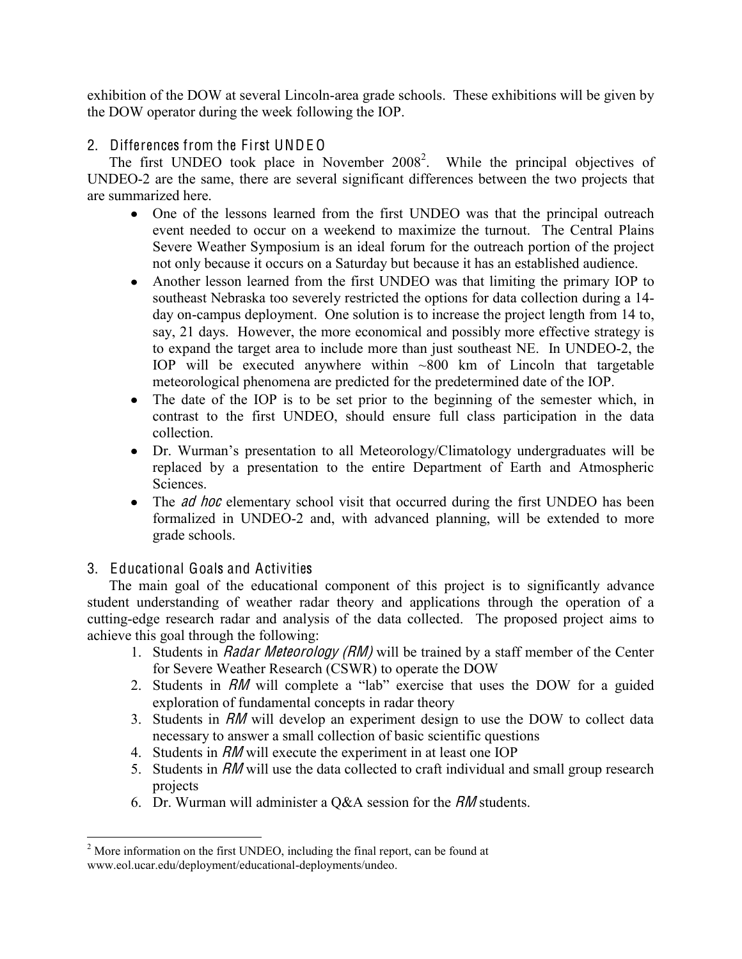exhibition of the DOW at several Lincoln-area grade schools. These exhibitions will be given by the DOW operator during the week following the IOP.

# 2. Differences from the First UNDE O

The first UNDEO took place in November  $2008^2$ . While the principal objectives of UNDEO-2 are the same, there are several significant differences between the two projects that are summarized here.

- One of the lessons learned from the first UNDEO was that the principal outreach event needed to occur on a weekend to maximize the turnout. The Central Plains Severe Weather Symposium is an ideal forum for the outreach portion of the project not only because it occurs on a Saturday but because it has an established audience.
- Another lesson learned from the first UNDEO was that limiting the primary IOP to southeast Nebraska too severely restricted the options for data collection during a 14 day on-campus deployment. One solution is to increase the project length from 14 to, say, 21 days. However, the more economical and possibly more effective strategy is to expand the target area to include more than just southeast NE. In UNDEO-2, the IOP will be executed anywhere within  $\sim 800$  km of Lincoln that targetable meteorological phenomena are predicted for the predetermined date of the IOP.
- The date of the IOP is to be set prior to the beginning of the semester which, in contrast to the first UNDEO, should ensure full class participation in the data collection.
- Dr. Wurman's presentation to all Meteorology/Climatology undergraduates will be replaced by a presentation to the entire Department of Earth and Atmospheric Sciences.
- The *ad hoc* elementary school visit that occurred during the first UNDEO has been formalized in UNDEO-2 and, with advanced planning, will be extended to more grade schools.

# 3. Educational Goals and Activities

The main goal of the educational component of this project is to significantly advance student understanding of weather radar theory and applications through the operation of a cutting-edge research radar and analysis of the data collected. The proposed project aims to achieve this goal through the following:

- 1. Students in *Radar Meteorology (RM)* will be trained by a staff member of the Center for Severe Weather Research (CSWR) to operate the DOW
- 2. Students in RM will complete a "lab" exercise that uses the DOW for a guided exploration of fundamental concepts in radar theory
- 3. Students in RM will develop an experiment design to use the DOW to collect data necessary to answer a small collection of basic scientific questions
- 4. Students in RM will execute the experiment in at least one IOP
- 5. Students in RM will use the data collected to craft individual and small group research projects
- 6. Dr. Wurman will administer a Q&A session for the RM students.

<sup>&</sup>lt;sup>2</sup> More information on the first UNDEO, including the final report, can be found at www.eol.ucar.edu/deployment/educational-deployments/undeo.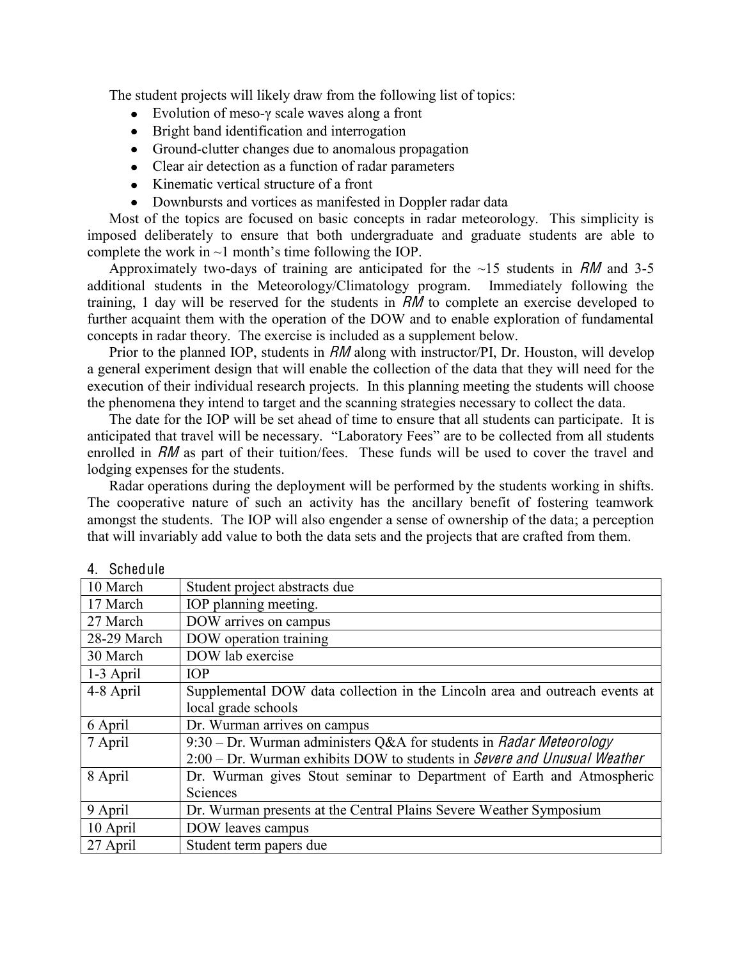The student projects will likely draw from the following list of topics:

- Evolution of meso- $\gamma$  scale waves along a front
- Bright band identification and interrogation
- Ground-clutter changes due to anomalous propagation
- Clear air detection as a function of radar parameters
- Kinematic vertical structure of a front
- Downbursts and vortices as manifested in Doppler radar data

Most of the topics are focused on basic concepts in radar meteorology. This simplicity is imposed deliberately to ensure that both undergraduate and graduate students are able to complete the work in  $\sim$ 1 month's time following the IOP.

Approximately two-days of training are anticipated for the  $\sim$ 15 students in RM and 3-5 additional students in the Meteorology/Climatology program. Immediately following the training, 1 day will be reserved for the students in RM to complete an exercise developed to further acquaint them with the operation of the DOW and to enable exploration of fundamental concepts in radar theory. The exercise is included as a supplement below.

Prior to the planned IOP, students in RM along with instructor/PI, Dr. Houston, will develop a general experiment design that will enable the collection of the data that they will need for the execution of their individual research projects. In this planning meeting the students will choose the phenomena they intend to target and the scanning strategies necessary to collect the data.

The date for the IOP will be set ahead of time to ensure that all students can participate. It is anticipated that travel will be necessary. "Laboratory Fees" are to be collected from all students enrolled in RM as part of their tuition/fees. These funds will be used to cover the travel and lodging expenses for the students.

Radar operations during the deployment will be performed by the students working in shifts. The cooperative nature of such an activity has the ancillary benefit of fostering teamwork amongst the students. The IOP will also engender a sense of ownership of the data; a perception that will invariably add value to both the data sets and the projects that are crafted from them.

| 4. SUILCUUL |                                                                             |
|-------------|-----------------------------------------------------------------------------|
| 10 March    | Student project abstracts due                                               |
| 17 March    | IOP planning meeting.                                                       |
| 27 March    | DOW arrives on campus                                                       |
| 28-29 March | DOW operation training                                                      |
| 30 March    | DOW lab exercise                                                            |
| 1-3 April   | <b>IOP</b>                                                                  |
| 4-8 April   | Supplemental DOW data collection in the Lincoln area and outreach events at |
|             | local grade schools                                                         |
| 6 April     | Dr. Wurman arrives on campus                                                |
| 7 April     | 9:30 – Dr. Wurman administers Q&A for students in <i>Radar Meteorology</i>  |
|             | 2:00 – Dr. Wurman exhibits DOW to students in Severe and Unusual Weather    |
| 8 April     | Dr. Wurman gives Stout seminar to Department of Earth and Atmospheric       |
|             | Sciences                                                                    |
| 9 April     | Dr. Wurman presents at the Central Plains Severe Weather Symposium          |
| 10 April    | DOW leaves campus                                                           |
| 27 April    | Student term papers due                                                     |

# 4. Schedule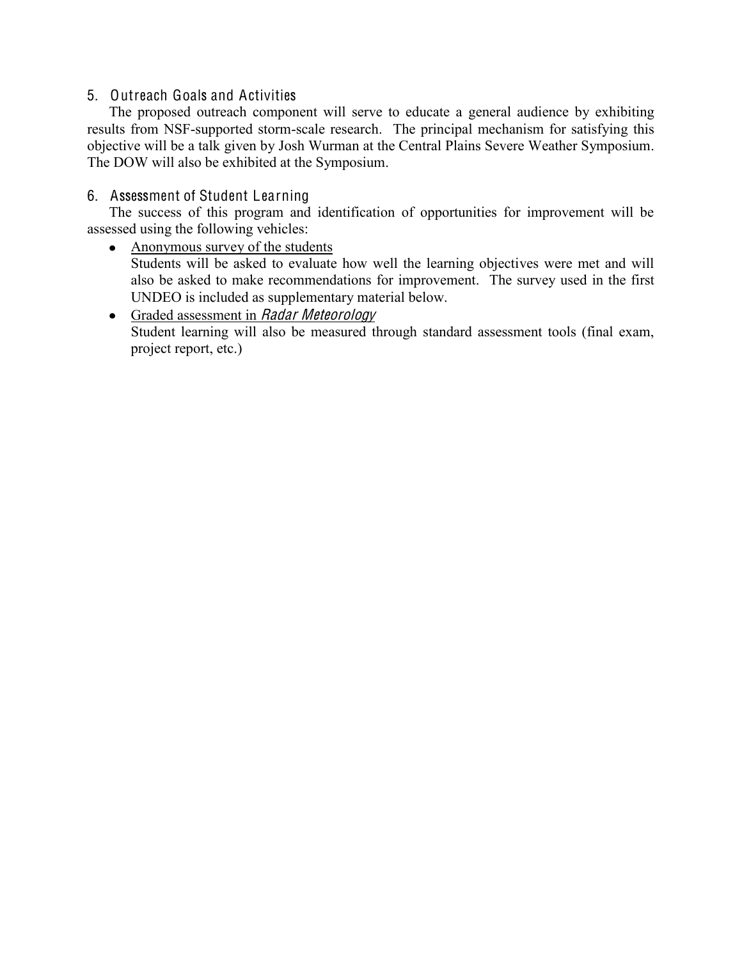#### 5. Outreach Goals and Activities

The proposed outreach component will serve to educate a general audience by exhibiting results from NSF-supported storm-scale research. The principal mechanism for satisfying this objective will be a talk given by Josh Wurman at the Central Plains Severe Weather Symposium. The DOW will also be exhibited at the Symposium.

#### 6. Assessment of Student Learning

The success of this program and identification of opportunities for improvement will be assessed using the following vehicles:

#### • Anonymous survey of the students

Students will be asked to evaluate how well the learning objectives were met and will also be asked to make recommendations for improvement. The survey used in the first UNDEO is included as supplementary material below.

# • Graded assessment in Radar Meteorology

Student learning will also be measured through standard assessment tools (final exam, project report, etc.)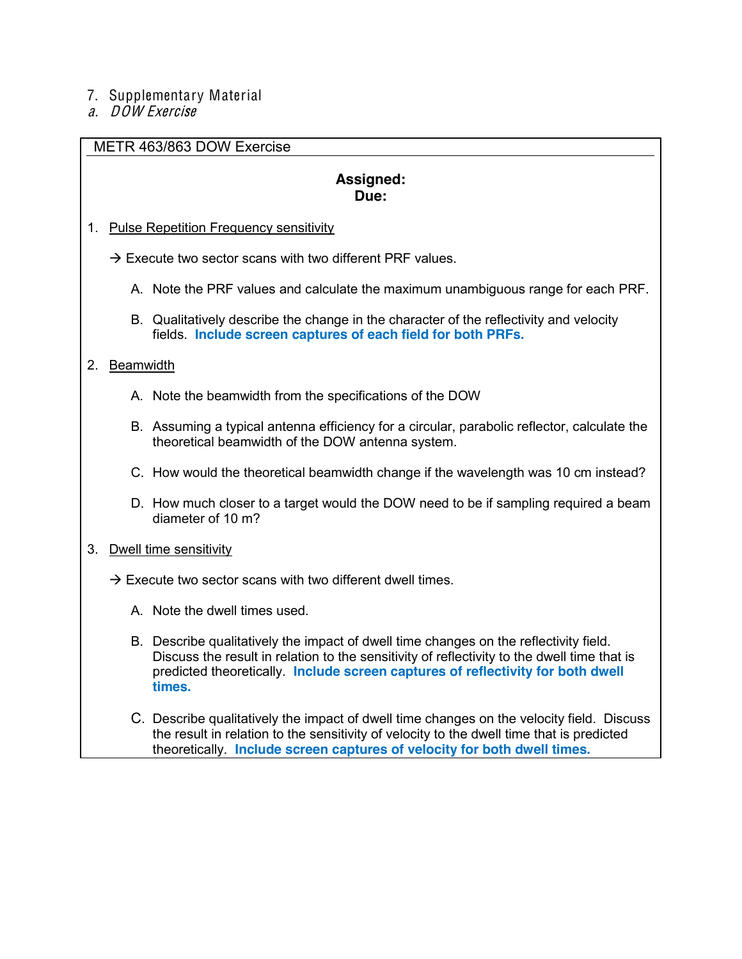#### 7. Supplementary Material

a. DOW Exercise

#### METR 463/863 DOW Exercise

#### **Assigned: Due:**

#### 1. Pulse Repetition Frequency sensitivity

 $\rightarrow$  Execute two sector scans with two different PRF values.

- A. Note the PRF values and calculate the maximum unambiguous range for each PRF.
- B. Qualitatively describe the change in the character of the reflectivity and velocity fields. **Include screen captures of each field for both PRFs.**

#### 2. Beamwidth

- A. Note the beamwidth from the specifications of the DOW
- B. Assuming a typical antenna efficiency for a circular, parabolic reflector, calculate the theoretical beamwidth of the DOW antenna system.
- C. How would the theoretical beamwidth change if the wavelength was 10 cm instead?
- D. How much closer to a target would the DOW need to be if sampling required a beam diameter of 10 m?

#### 3. Dwell time sensitivity

- $\rightarrow$  Execute two sector scans with two different dwell times.
	- A. Note the dwell times used.
	- B. Describe qualitatively the impact of dwell time changes on the reflectivity field. Discuss the result in relation to the sensitivity of reflectivity to the dwell time that is predicted theoretically. **Include screen captures of reflectivity for both dwell times.**
	- C. Describe qualitatively the impact of dwell time changes on the velocity field. Discuss the result in relation to the sensitivity of velocity to the dwell time that is predicted theoretically. **Include screen captures of velocity for both dwell times.**